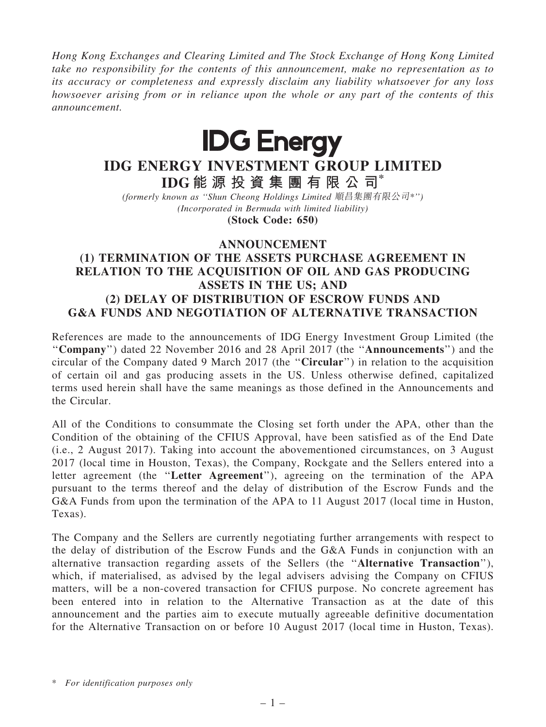Hong Kong Exchanges and Clearing Limited and The Stock Exchange of Hong Kong Limited take no responsibility for the contents of this announcement, make no representation as to its accuracy or completeness and expressly disclaim any liability whatsoever for any loss howsoever arising from or in reliance upon the whole or any part of the contents of this announcement.



## IDG ENERGY INVESTMENT GROUP LIMITED IDG 能 源 投 資 集 團 有 限 公 司\*

(formerly known as ''Shun Cheong Holdings Limited 順昌集團有限公司\*'') (Incorporated in Bermuda with limited liability)

(Stock Code: 650)

## ANNOUNCEMENT

## (1) TERMINATION OF THE ASSETS PURCHASE AGREEMENT IN RELATION TO THE ACQUISITION OF OIL AND GAS PRODUCING ASSETS IN THE US; AND (2) DELAY OF DISTRIBUTION OF ESCROW FUNDS AND G&A FUNDS AND NEGOTIATION OF ALTERNATIVE TRANSACTION

References are made to the announcements of IDG Energy Investment Group Limited (the ''Company'') dated 22 November 2016 and 28 April 2017 (the ''Announcements'') and the circular of the Company dated 9 March 2017 (the ''Circular'') in relation to the acquisition of certain oil and gas producing assets in the US. Unless otherwise defined, capitalized terms used herein shall have the same meanings as those defined in the Announcements and the Circular.

All of the Conditions to consummate the Closing set forth under the APA, other than the Condition of the obtaining of the CFIUS Approval, have been satisfied as of the End Date (i.e., 2 August 2017). Taking into account the abovementioned circumstances, on 3 August 2017 (local time in Houston, Texas), the Company, Rockgate and the Sellers entered into a letter agreement (the ''Letter Agreement''), agreeing on the termination of the APA pursuant to the terms thereof and the delay of distribution of the Escrow Funds and the G&A Funds from upon the termination of the APA to 11 August 2017 (local time in Huston, Texas).

The Company and the Sellers are currently negotiating further arrangements with respect to the delay of distribution of the Escrow Funds and the G&A Funds in conjunction with an alternative transaction regarding assets of the Sellers (the ''Alternative Transaction''), which, if materialised, as advised by the legal advisers advising the Company on CFIUS matters, will be a non-covered transaction for CFIUS purpose. No concrete agreement has been entered into in relation to the Alternative Transaction as at the date of this announcement and the parties aim to execute mutually agreeable definitive documentation for the Alternative Transaction on or before 10 August 2017 (local time in Huston, Texas).

\* For identification purposes only